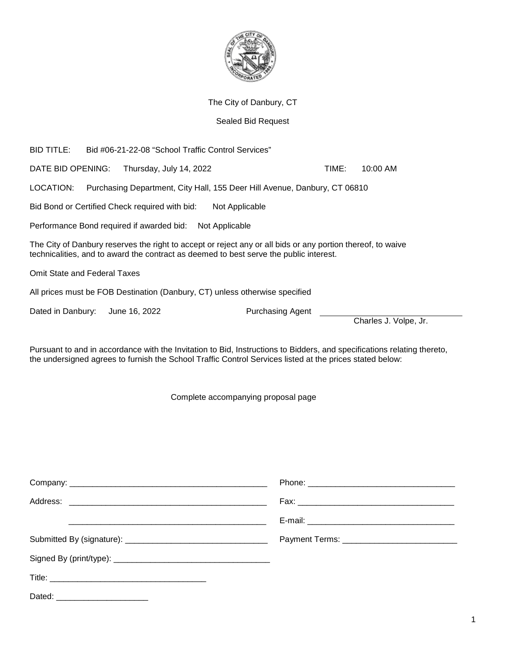

#### The City of Danbury, CT

#### Sealed Bid Request

BID TITLE: Bid #06-21-22-08 "School Traffic Control Services" DATE BID OPENING: Thursday, July 14, 2022 TIME: 10:00 AM LOCATION: Purchasing Department, City Hall, 155 Deer Hill Avenue, Danbury, CT 06810 Bid Bond or Certified Check required with bid: Not Applicable Performance Bond required if awarded bid: Not Applicable The City of Danbury reserves the right to accept or reject any or all bids or any portion thereof, to waive technicalities, and to award the contract as deemed to best serve the public interest. Omit State and Federal Taxes All prices must be FOB Destination (Danbury, CT) unless otherwise specified

Dated in Danbury: June 16, 2022 Purchasing Agent

Charles J. Volpe, Jr.

Pursuant to and in accordance with the Invitation to Bid, Instructions to Bidders, and specifications relating thereto, the undersigned agrees to furnish the School Traffic Control Services listed at the prices stated below:

Complete accompanying proposal page

| Dated: ________________________ |  |
|---------------------------------|--|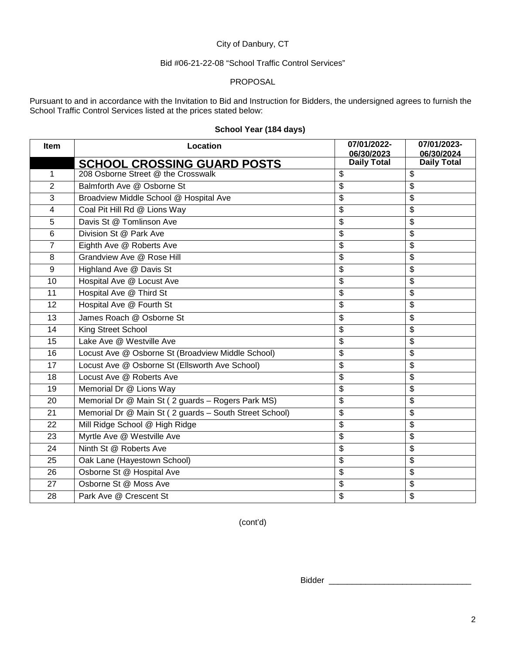## City of Danbury, CT

#### Bid #06-21-22-08 "School Traffic Control Services"

#### PROPOSAL

Pursuant to and in accordance with the Invitation to Bid and Instruction for Bidders, the undersigned agrees to furnish the School Traffic Control Services listed at the prices stated below:

| <b>Item</b>     | Location                                               | 07/01/2022-<br>06/30/2023 | 07/01/2023-<br>06/30/2024 |
|-----------------|--------------------------------------------------------|---------------------------|---------------------------|
|                 | <b>SCHOOL CROSSING GUARD POSTS</b>                     | <b>Daily Total</b>        | <b>Daily Total</b>        |
| $\mathbf{1}$    | 208 Osborne Street @ the Crosswalk                     | \$                        | \$                        |
| $\overline{2}$  | Balmforth Ave @ Osborne St                             | \$                        | \$                        |
| 3               | Broadview Middle School @ Hospital Ave                 | \$                        | \$                        |
| $\overline{4}$  | Coal Pit Hill Rd @ Lions Way                           | \$                        | \$                        |
| 5               | Davis St @ Tomlinson Ave                               | \$                        | \$                        |
| 6               | Division St @ Park Ave                                 | \$                        | \$                        |
| $\overline{7}$  | Eighth Ave @ Roberts Ave                               | \$                        | \$                        |
| 8               | Grandview Ave @ Rose Hill                              | \$                        | $\overline{\mathbf{e}}$   |
| 9               | Highland Ave @ Davis St                                | \$                        | \$                        |
| $\overline{10}$ | Hospital Ave @ Locust Ave                              | \$                        | \$                        |
| 11              | Hospital Ave @ Third St                                | \$                        | \$                        |
| 12              | Hospital Ave @ Fourth St                               | \$                        | \$                        |
| 13              | James Roach @ Osborne St                               | \$                        | \$                        |
| 14              | King Street School                                     | \$                        | \$                        |
| 15              | Lake Ave @ Westville Ave                               | \$                        | \$                        |
| 16              | Locust Ave @ Osborne St (Broadview Middle School)      | \$                        | $\overline{\mathcal{S}}$  |
| 17              | Locust Ave @ Osborne St (Ellsworth Ave School)         | \$                        | \$                        |
| 18              | Locust Ave @ Roberts Ave                               | \$                        | \$                        |
| 19              | Memorial Dr @ Lions Way                                | \$                        | \$                        |
| 20              | Memorial Dr @ Main St (2 guards - Rogers Park MS)      | \$                        | \$                        |
| 21              | Memorial Dr @ Main St (2 guards - South Street School) | \$                        | \$                        |
| 22              | Mill Ridge School @ High Ridge                         | \$                        | \$                        |
| 23              | Myrtle Ave @ Westville Ave                             | \$                        | \$                        |
| 24              | Ninth St @ Roberts Ave                                 | \$                        | $\overline{\mathbf{e}}$   |
| 25              | Oak Lane (Hayestown School)                            | \$                        | \$                        |
| 26              | Osborne St @ Hospital Ave                              | \$                        | $\overline{\mathbf{e}}$   |
| 27              | Osborne St @ Moss Ave                                  | \$                        | $\overline{\mathbf{e}}$   |
| 28              | Park Ave @ Crescent St                                 | \$                        | \$                        |

# **School Year (184 days)**

(cont'd)

Bidder \_\_\_\_\_\_\_\_\_\_\_\_\_\_\_\_\_\_\_\_\_\_\_\_\_\_\_\_\_\_\_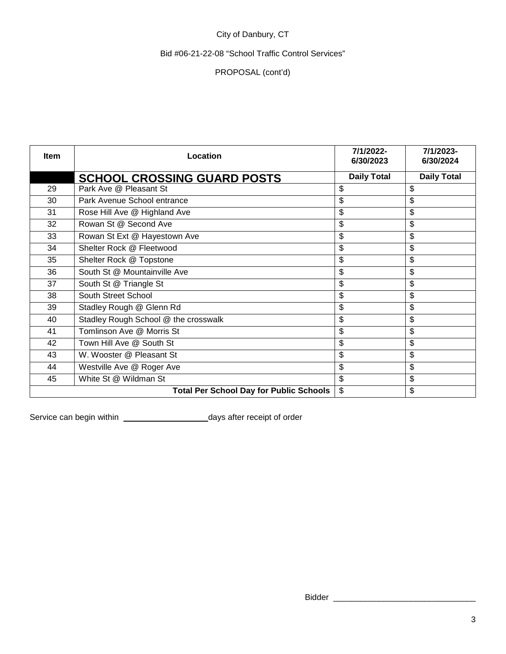# City of Danbury, CT

## Bid #06-21-22-08 "School Traffic Control Services"

## PROPOSAL (cont'd)

| Item | Location                                       | 7/1/2022-<br>6/30/2023 | 7/1/2023-<br>6/30/2024 |
|------|------------------------------------------------|------------------------|------------------------|
|      | <b>SCHOOL CROSSING GUARD POSTS</b>             | <b>Daily Total</b>     | <b>Daily Total</b>     |
| 29   | Park Ave @ Pleasant St                         | \$                     | \$                     |
| 30   | Park Avenue School entrance                    | \$                     | \$                     |
| 31   | Rose Hill Ave @ Highland Ave                   | \$                     | \$                     |
| 32   | Rowan St @ Second Ave                          | \$                     | \$                     |
| 33   | Rowan St Ext @ Hayestown Ave                   | \$                     | \$                     |
| 34   | Shelter Rock @ Fleetwood                       | \$                     | \$                     |
| 35   | Shelter Rock @ Topstone                        | \$                     | \$                     |
| 36   | South St @ Mountainville Ave                   | \$                     | \$                     |
| 37   | South St @ Triangle St                         | \$                     | \$                     |
| 38   | South Street School                            | \$                     | \$                     |
| 39   | Stadley Rough @ Glenn Rd                       | \$                     | \$                     |
| 40   | Stadley Rough School @ the crosswalk           | \$                     | \$                     |
| 41   | Tomlinson Ave @ Morris St                      | \$                     | \$                     |
| 42   | Town Hill Ave @ South St                       | \$                     | \$                     |
| 43   | W. Wooster @ Pleasant St                       | \$                     | \$                     |
| 44   | Westville Ave @ Roger Ave                      | \$                     | \$                     |
| 45   | White St @ Wildman St                          | \$                     | \$                     |
|      | <b>Total Per School Day for Public Schools</b> | \$                     | \$                     |

Service can begin within \_\_\_\_\_\_\_\_\_\_\_\_\_\_\_\_\_\_\_\_\_\_\_\_\_\_\_days after receipt of order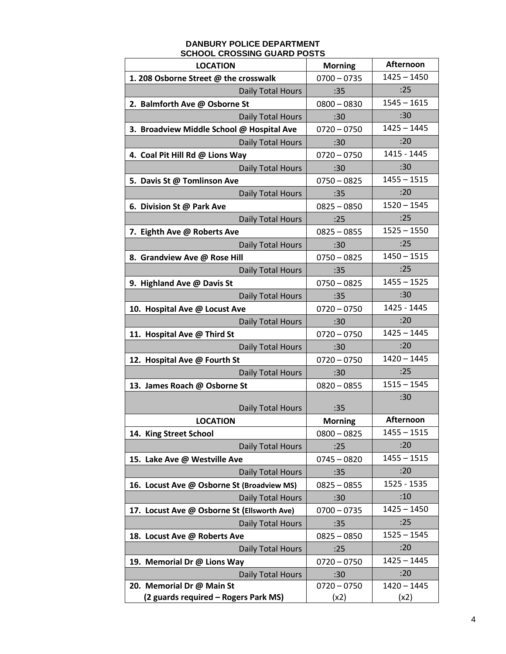#### **DANBURY POLICE DEPARTMENT SCHOOL CROSSING GUARD POSTS**

| <b>LOCATION</b>                             | <b>Morning</b> | Afternoon     |
|---------------------------------------------|----------------|---------------|
| 1. 208 Osborne Street @ the crosswalk       | $0700 - 0735$  | $1425 - 1450$ |
| Daily Total Hours                           | :35            | :25           |
| 2. Balmforth Ave @ Osborne St               | $0800 - 0830$  | $1545 - 1615$ |
| Daily Total Hours                           | :30            | :30           |
| 3. Broadview Middle School @ Hospital Ave   | $0720 - 0750$  | $1425 - 1445$ |
| Daily Total Hours                           | :30            | :20           |
| 4. Coal Pit Hill Rd @ Lions Way             | $0720 - 0750$  | 1415 - 1445   |
| Daily Total Hours                           | :30            | :30           |
| 5. Davis St @ Tomlinson Ave                 | $0750 - 0825$  | $1455 - 1515$ |
| Daily Total Hours                           | :35            | :20           |
| 6. Division St @ Park Ave                   | $0825 - 0850$  | $1520 - 1545$ |
| Daily Total Hours                           | :25            | :25           |
| 7. Eighth Ave @ Roberts Ave                 | $0825 - 0855$  | $1525 - 1550$ |
| Daily Total Hours                           | :30            | :25           |
| 8. Grandview Ave @ Rose Hill                | $0750 - 0825$  | $1450 - 1515$ |
| Daily Total Hours                           | :35            | :25           |
| 9. Highland Ave @ Davis St                  | $0750 - 0825$  | $1455 - 1525$ |
| Daily Total Hours                           | :35            | :30           |
| 10. Hospital Ave @ Locust Ave               | $0720 - 0750$  | 1425 - 1445   |
| Daily Total Hours                           | :30            | :20           |
| 11. Hospital Ave @ Third St                 | $0720 - 0750$  | $1425 - 1445$ |
| Daily Total Hours                           | :30            | :20           |
| 12. Hospital Ave @ Fourth St                | $0720 - 0750$  | $1420 - 1445$ |
| Daily Total Hours                           | :30            | :25           |
| 13. James Roach @ Osborne St                | $0820 - 0855$  | $1515 - 1545$ |
| Daily Total Hours                           | :35            | :30           |
| <b>LOCATION</b>                             | <b>Morning</b> | Afternoon     |
| 14. King Street School                      | $0800 - 0825$  | $1455 - 1515$ |
| Daily Total Hours                           | :25            | :20           |
| 15. Lake Ave @ Westville Ave                | $0745 - 0820$  | $1455 - 1515$ |
| Daily Total Hours                           | :35            | :20           |
| 16. Locust Ave @ Osborne St (Broadview MS)  | $0825 - 0855$  | 1525 - 1535   |
| Daily Total Hours                           | :30            | :10           |
| 17. Locust Ave @ Osborne St (Ellsworth Ave) | $0700 - 0735$  | $1425 - 1450$ |
| Daily Total Hours                           | :35            | :25           |
| 18. Locust Ave @ Roberts Ave                | $0825 - 0850$  | $1525 - 1545$ |
| Daily Total Hours                           | :25            | :20           |
| 19. Memorial Dr @ Lions Way                 | $0720 - 0750$  | $1425 - 1445$ |
| Daily Total Hours                           | :30            | :20           |
| 20. Memorial Dr @ Main St                   | $0720 - 0750$  | $1420 - 1445$ |
| (2 guards required - Rogers Park MS)        | (x2)           | (x2)          |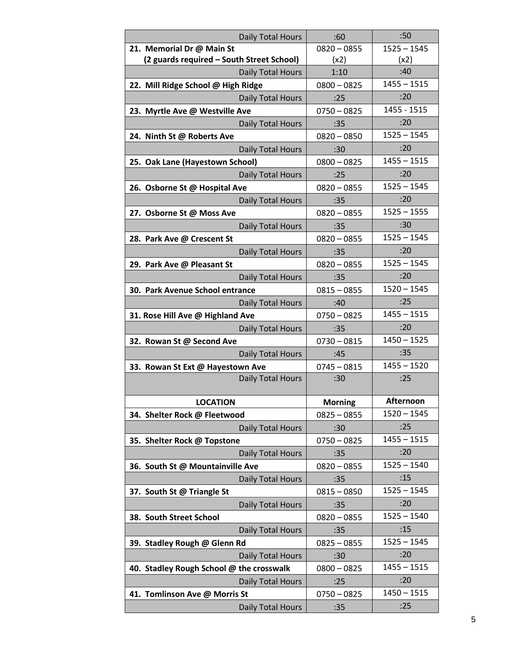| Daily Total Hours                         | :60            | :50           |
|-------------------------------------------|----------------|---------------|
| 21. Memorial Dr @ Main St                 | $0820 - 0855$  | $1525 - 1545$ |
| (2 guards required - South Street School) | (x2)           | (x2)          |
| Daily Total Hours                         | 1:10           | :40           |
| 22. Mill Ridge School @ High Ridge        | $0800 - 0825$  | $1455 - 1515$ |
| Daily Total Hours                         | :25            | :20           |
| 23. Myrtle Ave @ Westville Ave            | $0750 - 0825$  | 1455 - 1515   |
| Daily Total Hours                         | :35            | :20           |
| 24. Ninth St @ Roberts Ave                | $0820 - 0850$  | $1525 - 1545$ |
| Daily Total Hours                         | :30            | :20           |
| 25. Oak Lane (Hayestown School)           | $0800 - 0825$  | $1455 - 1515$ |
| Daily Total Hours                         | :25            | :20           |
| 26. Osborne St @ Hospital Ave             | $0820 - 0855$  | $1525 - 1545$ |
| <b>Daily Total Hours</b>                  | :35            | :20           |
| 27. Osborne St @ Moss Ave                 | $0820 - 0855$  | $1525 - 1555$ |
| Daily Total Hours                         | :35            | :30           |
| 28. Park Ave @ Crescent St                | $0820 - 0855$  | $1525 - 1545$ |
| Daily Total Hours                         | :35            | :20           |
| 29. Park Ave @ Pleasant St                | $0820 - 0855$  | $1525 - 1545$ |
| Daily Total Hours                         | :35            | :20           |
| 30. Park Avenue School entrance           | $0815 - 0855$  | $1520 - 1545$ |
| Daily Total Hours                         | :40            | :25           |
| 31. Rose Hill Ave @ Highland Ave          | $0750 - 0825$  | $1455 - 1515$ |
| Daily Total Hours                         | :35            | :20           |
| 32. Rowan St @ Second Ave                 | $0730 - 0815$  | $1450 - 1525$ |
| Daily Total Hours                         | :45            | :35           |
| 33. Rowan St Ext @ Hayestown Ave          | $0745 - 0815$  | $1455 - 1520$ |
| Daily Total Hours                         | :30            | :25           |
|                                           |                |               |
| <b>LOCATION</b>                           | <b>Morning</b> | Afternoon     |
| 34. Shelter Rock @ Fleetwood              | $0825 - 0855$  | $1520 - 1545$ |
| Daily Total Hours                         | :30            | :25           |
| 35. Shelter Rock @ Topstone               | $0750 - 0825$  | $1455 - 1515$ |
| Daily Total Hours                         | :35            | :20           |
| 36. South St @ Mountainville Ave          | $0820 - 0855$  | $1525 - 1540$ |
| Daily Total Hours                         | :35            | :15           |
| 37. South St @ Triangle St                | $0815 - 0850$  | $1525 - 1545$ |
| Daily Total Hours                         | :35            | :20           |
| 38. South Street School                   | $0820 - 0855$  | $1525 - 1540$ |
| Daily Total Hours                         | :35            | :15           |
| 39. Stadley Rough @ Glenn Rd              | $0825 - 0855$  | $1525 - 1545$ |
| Daily Total Hours                         | :30            | :20           |
| 40. Stadley Rough School @ the crosswalk  | $0800 - 0825$  | $1455 - 1515$ |
| Daily Total Hours                         | :25            | :20           |
| 41. Tomlinson Ave @ Morris St             | $0750 - 0825$  | $1450 - 1515$ |
| Daily Total Hours                         | :35            | :25           |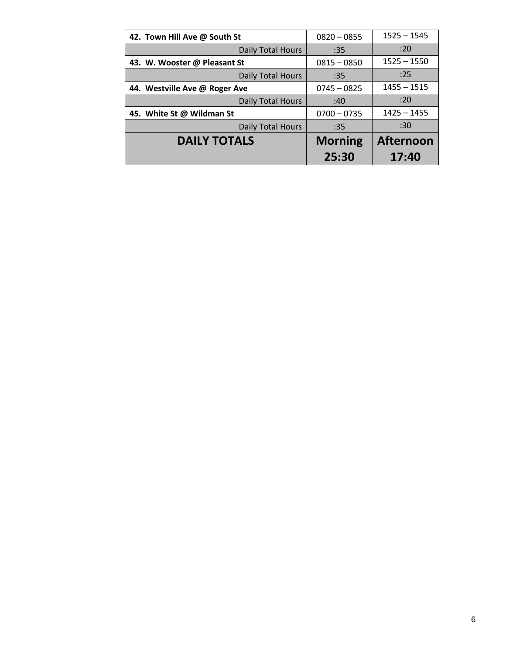| 42. Town Hill Ave @ South St  | $0820 - 0855$  | $1525 - 1545$    |
|-------------------------------|----------------|------------------|
| Daily Total Hours             | :35            | :20              |
| 43. W. Wooster @ Pleasant St  | $0815 - 0850$  | $1525 - 1550$    |
| Daily Total Hours             | :35            | :25              |
| 44. Westville Ave @ Roger Ave | $0745 - 0825$  | $1455 - 1515$    |
| Daily Total Hours             | :40            | :20              |
| 45. White St @ Wildman St     | $0700 - 0735$  | $1425 - 1455$    |
| Daily Total Hours             | :35            | :30              |
| <b>DAILY TOTALS</b>           | <b>Morning</b> | <b>Afternoon</b> |
|                               | 25:30          | 17:40            |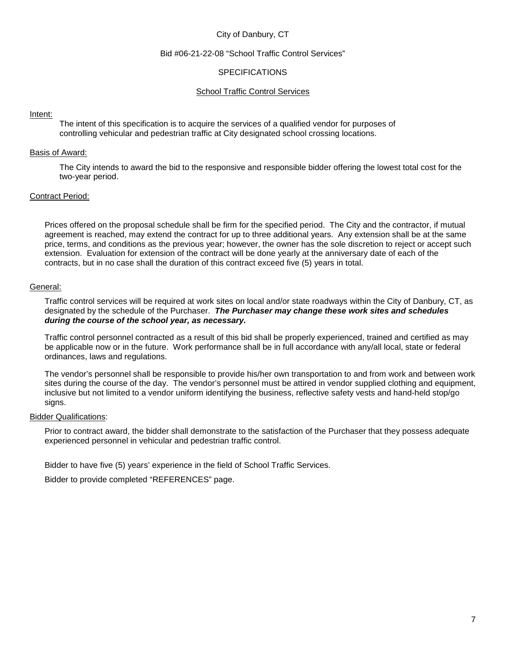#### City of Danbury, CT

#### Bid #06-21-22-08 "School Traffic Control Services"

#### **SPECIFICATIONS**

#### School Traffic Control Services

#### Intent:

The intent of this specification is to acquire the services of a qualified vendor for purposes of controlling vehicular and pedestrian traffic at City designated school crossing locations.

#### Basis of Award:

The City intends to award the bid to the responsive and responsible bidder offering the lowest total cost for the two-year period.

#### Contract Period:

Prices offered on the proposal schedule shall be firm for the specified period. The City and the contractor, if mutual agreement is reached, may extend the contract for up to three additional years. Any extension shall be at the same price, terms, and conditions as the previous year; however, the owner has the sole discretion to reject or accept such extension. Evaluation for extension of the contract will be done yearly at the anniversary date of each of the contracts, but in no case shall the duration of this contract exceed five (5) years in total.

#### General:

Traffic control services will be required at work sites on local and/or state roadways within the City of Danbury, CT, as designated by the schedule of the Purchaser. *The Purchaser may change these work sites and schedules during the course of the school year, as necessary.* 

Traffic control personnel contracted as a result of this bid shall be properly experienced, trained and certified as may be applicable now or in the future. Work performance shall be in full accordance with any/all local, state or federal ordinances, laws and regulations.

The vendor's personnel shall be responsible to provide his/her own transportation to and from work and between work sites during the course of the day. The vendor's personnel must be attired in vendor supplied clothing and equipment, inclusive but not limited to a vendor uniform identifying the business, reflective safety vests and hand-held stop/go signs.

#### Bidder Qualifications:

Prior to contract award, the bidder shall demonstrate to the satisfaction of the Purchaser that they possess adequate experienced personnel in vehicular and pedestrian traffic control.

Bidder to have five (5) years' experience in the field of School Traffic Services.

Bidder to provide completed "REFERENCES" page.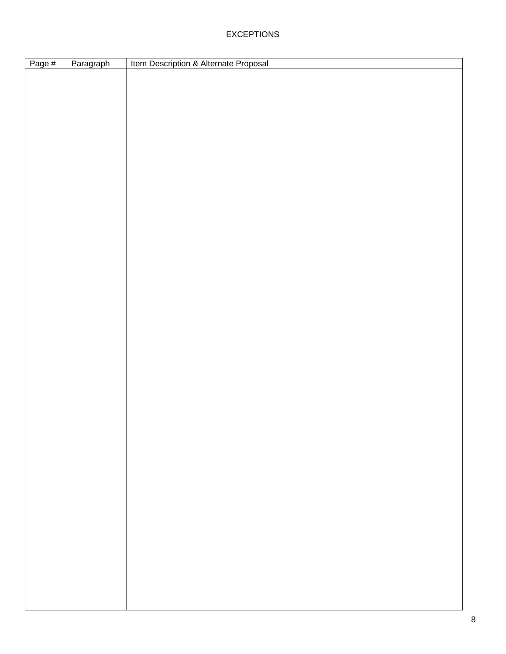# EXCEPTIONS

| Page # | Paragraph | Item Description & Alternate Proposal |
|--------|-----------|---------------------------------------|
|        |           |                                       |
|        |           |                                       |
|        |           |                                       |
|        |           |                                       |
|        |           |                                       |
|        |           |                                       |
|        |           |                                       |
|        |           |                                       |
|        |           |                                       |
|        |           |                                       |
|        |           |                                       |
|        |           |                                       |
|        |           |                                       |
|        |           |                                       |
|        |           |                                       |
|        |           |                                       |
|        |           |                                       |
|        |           |                                       |
|        |           |                                       |
|        |           |                                       |
|        |           |                                       |
|        |           |                                       |
|        |           |                                       |
|        |           |                                       |
|        |           |                                       |
|        |           |                                       |
|        |           |                                       |
|        |           |                                       |
|        |           |                                       |
|        |           |                                       |
|        |           |                                       |
|        |           |                                       |
|        |           |                                       |
|        |           |                                       |
|        |           |                                       |
|        |           |                                       |
|        |           |                                       |
|        |           |                                       |
|        |           |                                       |
|        |           |                                       |
|        |           |                                       |
|        |           |                                       |
|        |           |                                       |
|        |           |                                       |
|        |           |                                       |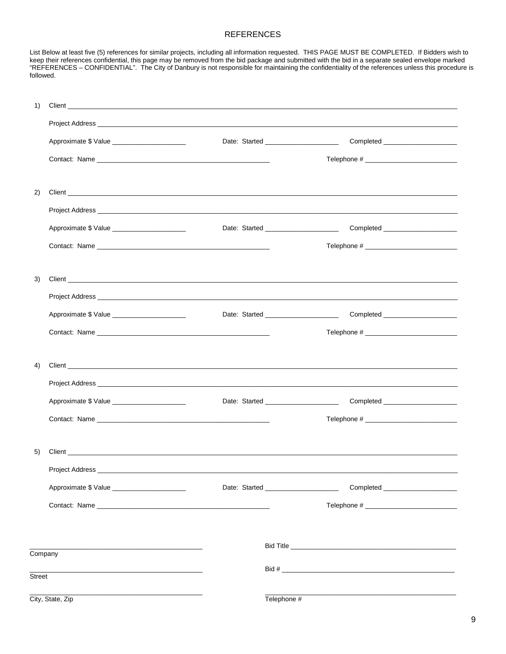#### **REFERENCES**

List Below at least five (5) references for similar projects, including all information requested. THIS PAGE MUST BE COMPLETED. If Bidders wish to<br>keep their references confidential, this page may be removed from the bid p followed.

| 1)      |                                                                                                                                                                                                                                |  |                                        |                                     |
|---------|--------------------------------------------------------------------------------------------------------------------------------------------------------------------------------------------------------------------------------|--|----------------------------------------|-------------------------------------|
|         |                                                                                                                                                                                                                                |  |                                        |                                     |
|         | Approximate \$ Value _________________________                                                                                                                                                                                 |  | Date: Started _______________________  |                                     |
|         |                                                                                                                                                                                                                                |  |                                        |                                     |
|         |                                                                                                                                                                                                                                |  |                                        |                                     |
| 2)      |                                                                                                                                                                                                                                |  |                                        |                                     |
|         |                                                                                                                                                                                                                                |  |                                        |                                     |
|         | Approximate \$ Value _______________________                                                                                                                                                                                   |  | Date: Started _____________________    | Completed _________________________ |
|         |                                                                                                                                                                                                                                |  |                                        |                                     |
|         |                                                                                                                                                                                                                                |  |                                        |                                     |
| 3)      |                                                                                                                                                                                                                                |  |                                        |                                     |
|         |                                                                                                                                                                                                                                |  |                                        |                                     |
|         | Approximate \$ Value _______________________                                                                                                                                                                                   |  |                                        |                                     |
|         |                                                                                                                                                                                                                                |  |                                        |                                     |
|         |                                                                                                                                                                                                                                |  |                                        |                                     |
| 4)      |                                                                                                                                                                                                                                |  |                                        |                                     |
|         |                                                                                                                                                                                                                                |  |                                        |                                     |
|         | Approximate \$ Value _______________________                                                                                                                                                                                   |  | Date: Started _______________________  |                                     |
|         |                                                                                                                                                                                                                                |  |                                        |                                     |
|         |                                                                                                                                                                                                                                |  |                                        |                                     |
| 5)      |                                                                                                                                                                                                                                |  |                                        |                                     |
|         |                                                                                                                                                                                                                                |  |                                        |                                     |
|         | Approximate \$ Value ________________________                                                                                                                                                                                  |  | Date: Started ________________________ |                                     |
|         | Contact: Name experience and the contract of the contract of the contract of the contract of the contract of the contract of the contract of the contract of the contract of the contract of the contract of the contract of t |  |                                        |                                     |
|         |                                                                                                                                                                                                                                |  |                                        |                                     |
|         |                                                                                                                                                                                                                                |  |                                        |                                     |
| Company |                                                                                                                                                                                                                                |  |                                        |                                     |
| Street  |                                                                                                                                                                                                                                |  |                                        |                                     |
|         | City, State, Zip                                                                                                                                                                                                               |  | Telephone #                            |                                     |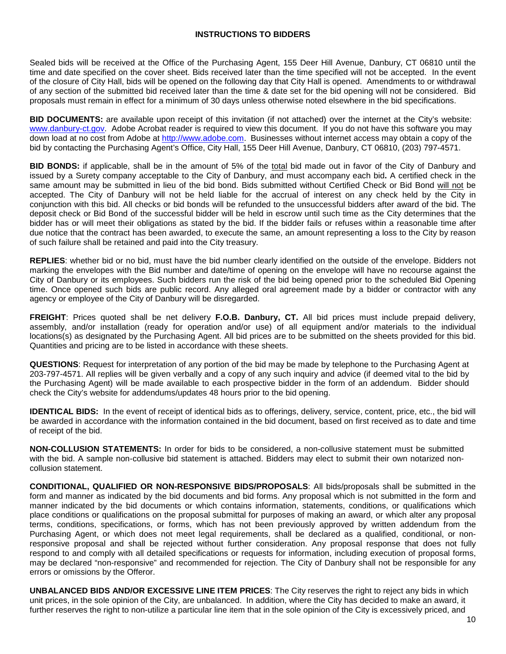#### **INSTRUCTIONS TO BIDDERS**

Sealed bids will be received at the Office of the Purchasing Agent, 155 Deer Hill Avenue, Danbury, CT 06810 until the time and date specified on the cover sheet. Bids received later than the time specified will not be accepted. In the event of the closure of City Hall, bids will be opened on the following day that City Hall is opened. Amendments to or withdrawal of any section of the submitted bid received later than the time & date set for the bid opening will not be considered. Bid proposals must remain in effect for a minimum of 30 days unless otherwise noted elsewhere in the bid specifications.

**BID DOCUMENTS:** are available upon receipt of this invitation (if not attached) over the internet at the City's website: www.danbury-ct.gov. Adobe Acrobat reader is required to view this document. If you do not have this software you may down load at no cost from Adobe at http://www.adobe.com. Businesses without internet access may obtain a copy of the bid by contacting the Purchasing Agent's Office, City Hall, 155 Deer Hill Avenue, Danbury, CT 06810, (203) 797-4571.

**BID BONDS:** if applicable, shall be in the amount of 5% of the total bid made out in favor of the City of Danbury and issued by a Surety company acceptable to the City of Danbury, and must accompany each bid**.** A certified check in the same amount may be submitted in lieu of the bid bond. Bids submitted without Certified Check or Bid Bond will not be accepted. The City of Danbury will not be held liable for the accrual of interest on any check held by the City in conjunction with this bid. All checks or bid bonds will be refunded to the unsuccessful bidders after award of the bid. The deposit check or Bid Bond of the successful bidder will be held in escrow until such time as the City determines that the bidder has or will meet their obligations as stated by the bid. If the bidder fails or refuses within a reasonable time after due notice that the contract has been awarded, to execute the same, an amount representing a loss to the City by reason of such failure shall be retained and paid into the City treasury.

**REPLIES**: whether bid or no bid, must have the bid number clearly identified on the outside of the envelope. Bidders not marking the envelopes with the Bid number and date/time of opening on the envelope will have no recourse against the City of Danbury or its employees. Such bidders run the risk of the bid being opened prior to the scheduled Bid Opening time. Once opened such bids are public record. Any alleged oral agreement made by a bidder or contractor with any agency or employee of the City of Danbury will be disregarded.

**FREIGHT**: Prices quoted shall be net delivery **F.O.B. Danbury, CT.** All bid prices must include prepaid delivery, assembly, and/or installation (ready for operation and/or use) of all equipment and/or materials to the individual locations(s) as designated by the Purchasing Agent. All bid prices are to be submitted on the sheets provided for this bid. Quantities and pricing are to be listed in accordance with these sheets.

**QUESTIONS**: Request for interpretation of any portion of the bid may be made by telephone to the Purchasing Agent at 203-797-4571. All replies will be given verbally and a copy of any such inquiry and advice (if deemed vital to the bid by the Purchasing Agent) will be made available to each prospective bidder in the form of an addendum. Bidder should check the City's website for addendums/updates 48 hours prior to the bid opening.

**IDENTICAL BIDS:** In the event of receipt of identical bids as to offerings, delivery, service, content, price, etc., the bid will be awarded in accordance with the information contained in the bid document, based on first received as to date and time of receipt of the bid.

**NON-COLLUSION STATEMENTS:** In order for bids to be considered, a non-collusive statement must be submitted with the bid. A sample non-collusive bid statement is attached. Bidders may elect to submit their own notarized noncollusion statement.

**CONDITIONAL, QUALIFIED OR NON-RESPONSIVE BIDS/PROPOSALS**: All bids/proposals shall be submitted in the form and manner as indicated by the bid documents and bid forms. Any proposal which is not submitted in the form and manner indicated by the bid documents or which contains information, statements, conditions, or qualifications which place conditions or qualifications on the proposal submittal for purposes of making an award, or which alter any proposal terms, conditions, specifications, or forms, which has not been previously approved by written addendum from the Purchasing Agent, or which does not meet legal requirements, shall be declared as a qualified, conditional, or nonresponsive proposal and shall be rejected without further consideration. Any proposal response that does not fully respond to and comply with all detailed specifications or requests for information, including execution of proposal forms, may be declared "non-responsive" and recommended for rejection. The City of Danbury shall not be responsible for any errors or omissions by the Offeror.

**UNBALANCED BIDS AND/OR EXCESSIVE LINE ITEM PRICES**: The City reserves the right to reject any bids in which unit prices, in the sole opinion of the City, are unbalanced. In addition, where the City has decided to make an award, it further reserves the right to non-utilize a particular line item that in the sole opinion of the City is excessively priced, and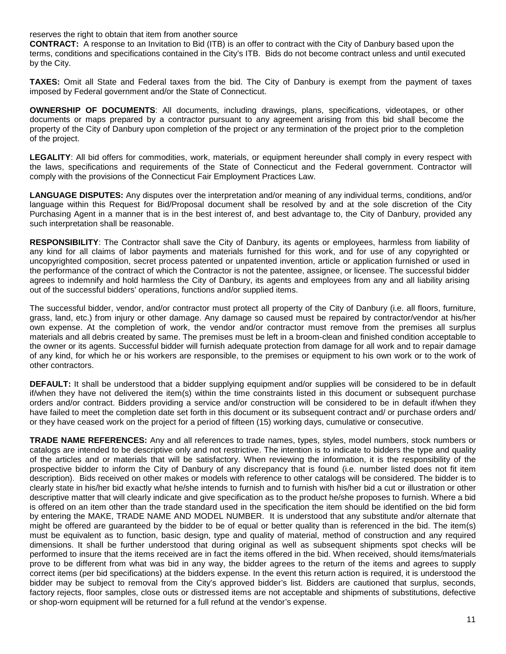reserves the right to obtain that item from another source

**CONTRACT:** A response to an Invitation to Bid (ITB) is an offer to contract with the City of Danbury based upon the terms, conditions and specifications contained in the City's ITB. Bids do not become contract unless and until executed by the City.

**TAXES:** Omit all State and Federal taxes from the bid. The City of Danbury is exempt from the payment of taxes imposed by Federal government and/or the State of Connecticut.

**OWNERSHIP OF DOCUMENTS**: All documents, including drawings, plans, specifications, videotapes, or other documents or maps prepared by a contractor pursuant to any agreement arising from this bid shall become the property of the City of Danbury upon completion of the project or any termination of the project prior to the completion of the project.

**LEGALITY**: All bid offers for commodities, work, materials, or equipment hereunder shall comply in every respect with the laws, specifications and requirements of the State of Connecticut and the Federal government. Contractor will comply with the provisions of the Connecticut Fair Employment Practices Law.

**LANGUAGE DISPUTES:** Any disputes over the interpretation and/or meaning of any individual terms, conditions, and/or language within this Request for Bid/Proposal document shall be resolved by and at the sole discretion of the City Purchasing Agent in a manner that is in the best interest of, and best advantage to, the City of Danbury, provided any such interpretation shall be reasonable.

**RESPONSIBILITY**: The Contractor shall save the City of Danbury, its agents or employees, harmless from liability of any kind for all claims of labor payments and materials furnished for this work, and for use of any copyrighted or uncopyrighted composition, secret process patented or unpatented invention, article or application furnished or used in the performance of the contract of which the Contractor is not the patentee, assignee, or licensee. The successful bidder agrees to indemnify and hold harmless the City of Danbury, its agents and employees from any and all liability arising out of the successful bidders' operations, functions and/or supplied items.

The successful bidder, vendor, and/or contractor must protect all property of the City of Danbury (i.e. all floors, furniture, grass, land, etc.) from injury or other damage. Any damage so caused must be repaired by contractor/vendor at his/her own expense. At the completion of work, the vendor and/or contractor must remove from the premises all surplus materials and all debris created by same. The premises must be left in a broom-clean and finished condition acceptable to the owner or its agents. Successful bidder will furnish adequate protection from damage for all work and to repair damage of any kind, for which he or his workers are responsible, to the premises or equipment to his own work or to the work of other contractors.

**DEFAULT:** It shall be understood that a bidder supplying equipment and/or supplies will be considered to be in default if/when they have not delivered the item(s) within the time constraints listed in this document or subsequent purchase orders and/or contract. Bidders providing a service and/or construction will be considered to be in default if/when they have failed to meet the completion date set forth in this document or its subsequent contract and/ or purchase orders and/ or they have ceased work on the project for a period of fifteen (15) working days, cumulative or consecutive.

**TRADE NAME REFERENCES:** Any and all references to trade names, types, styles, model numbers, stock numbers or catalogs are intended to be descriptive only and not restrictive. The intention is to indicate to bidders the type and quality of the articles and or materials that will be satisfactory. When reviewing the information, it is the responsibility of the prospective bidder to inform the City of Danbury of any discrepancy that is found (i.e. number listed does not fit item description). Bids received on other makes or models with reference to other catalogs will be considered. The bidder is to clearly state in his/her bid exactly what he/she intends to furnish and to furnish with his/her bid a cut or illustration or other descriptive matter that will clearly indicate and give specification as to the product he/she proposes to furnish. Where a bid is offered on an item other than the trade standard used in the specification the item should be identified on the bid form by entering the MAKE, TRADE NAME AND MODEL NUMBER. It is understood that any substitute and/or alternate that might be offered are guaranteed by the bidder to be of equal or better quality than is referenced in the bid. The item(s) must be equivalent as to function, basic design, type and quality of material, method of construction and any required dimensions. It shall be further understood that during original as well as subsequent shipments spot checks will be performed to insure that the items received are in fact the items offered in the bid. When received, should items/materials prove to be different from what was bid in any way, the bidder agrees to the return of the items and agrees to supply correct items (per bid specifications) at the bidders expense. In the event this return action is required, it is understood the bidder may be subject to removal from the City's approved bidder's list. Bidders are cautioned that surplus, seconds, factory rejects, floor samples, close outs or distressed items are not acceptable and shipments of substitutions, defective or shop-worn equipment will be returned for a full refund at the vendor's expense.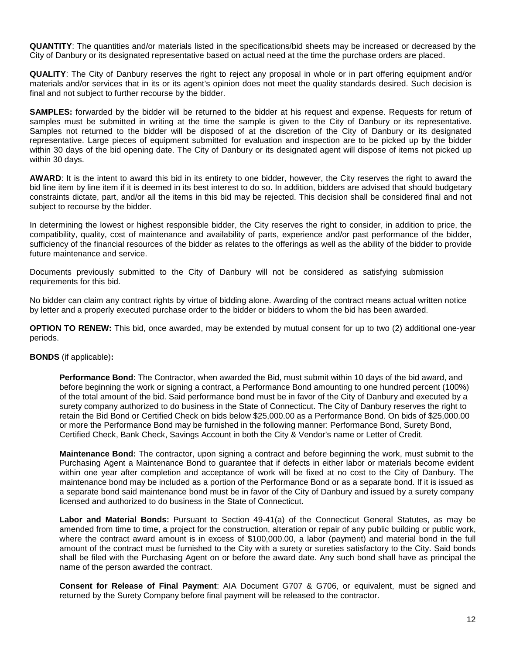**QUANTITY**: The quantities and/or materials listed in the specifications/bid sheets may be increased or decreased by the City of Danbury or its designated representative based on actual need at the time the purchase orders are placed.

**QUALITY**: The City of Danbury reserves the right to reject any proposal in whole or in part offering equipment and/or materials and/or services that in its or its agent's opinion does not meet the quality standards desired. Such decision is final and not subject to further recourse by the bidder.

**SAMPLES:** forwarded by the bidder will be returned to the bidder at his request and expense. Requests for return of samples must be submitted in writing at the time the sample is given to the City of Danbury or its representative. Samples not returned to the bidder will be disposed of at the discretion of the City of Danbury or its designated representative. Large pieces of equipment submitted for evaluation and inspection are to be picked up by the bidder within 30 days of the bid opening date. The City of Danbury or its designated agent will dispose of items not picked up within 30 days.

**AWARD**: It is the intent to award this bid in its entirety to one bidder, however, the City reserves the right to award the bid line item by line item if it is deemed in its best interest to do so. In addition, bidders are advised that should budgetary constraints dictate, part, and/or all the items in this bid may be rejected. This decision shall be considered final and not subject to recourse by the bidder.

In determining the lowest or highest responsible bidder, the City reserves the right to consider, in addition to price, the compatibility, quality, cost of maintenance and availability of parts, experience and/or past performance of the bidder, sufficiency of the financial resources of the bidder as relates to the offerings as well as the ability of the bidder to provide future maintenance and service.

Documents previously submitted to the City of Danbury will not be considered as satisfying submission requirements for this bid.

No bidder can claim any contract rights by virtue of bidding alone. Awarding of the contract means actual written notice by letter and a properly executed purchase order to the bidder or bidders to whom the bid has been awarded.

**OPTION TO RENEW:** This bid, once awarded, may be extended by mutual consent for up to two (2) additional one-year periods.

#### **BONDS** (if applicable)**:**

**Performance Bond**: The Contractor, when awarded the Bid, must submit within 10 days of the bid award, and before beginning the work or signing a contract, a Performance Bond amounting to one hundred percent (100%) of the total amount of the bid. Said performance bond must be in favor of the City of Danbury and executed by a surety company authorized to do business in the State of Connecticut. The City of Danbury reserves the right to retain the Bid Bond or Certified Check on bids below \$25,000.00 as a Performance Bond. On bids of \$25,000.00 or more the Performance Bond may be furnished in the following manner: Performance Bond, Surety Bond, Certified Check, Bank Check, Savings Account in both the City & Vendor's name or Letter of Credit.

**Maintenance Bond:** The contractor, upon signing a contract and before beginning the work, must submit to the Purchasing Agent a Maintenance Bond to guarantee that if defects in either labor or materials become evident within one year after completion and acceptance of work will be fixed at no cost to the City of Danbury. The maintenance bond may be included as a portion of the Performance Bond or as a separate bond. If it is issued as a separate bond said maintenance bond must be in favor of the City of Danbury and issued by a surety company licensed and authorized to do business in the State of Connecticut.

**Labor and Material Bonds:** Pursuant to Section 49-41(a) of the Connecticut General Statutes, as may be amended from time to time, a project for the construction, alteration or repair of any public building or public work, where the contract award amount is in excess of \$100,000.00, a labor (payment) and material bond in the full amount of the contract must be furnished to the City with a surety or sureties satisfactory to the City. Said bonds shall be filed with the Purchasing Agent on or before the award date. Any such bond shall have as principal the name of the person awarded the contract.

**Consent for Release of Final Payment**: AIA Document G707 & G706, or equivalent, must be signed and returned by the Surety Company before final payment will be released to the contractor.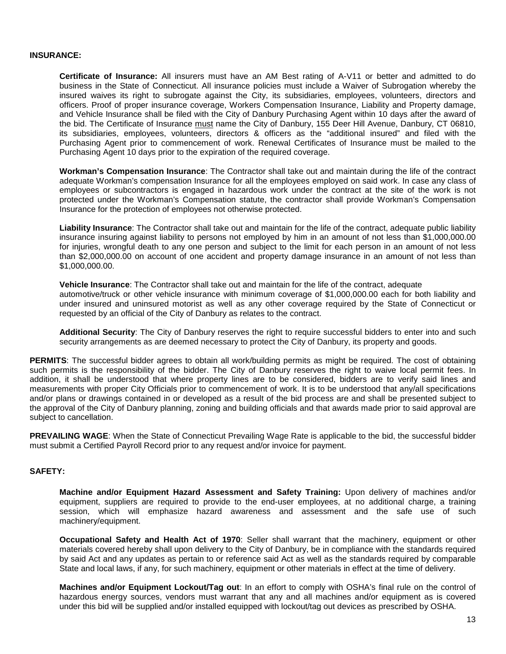#### **INSURANCE:**

**Certificate of Insurance:** All insurers must have an AM Best rating of A-V11 or better and admitted to do business in the State of Connecticut. All insurance policies must include a Waiver of Subrogation whereby the insured waives its right to subrogate against the City, its subsidiaries, employees, volunteers, directors and officers. Proof of proper insurance coverage, Workers Compensation Insurance, Liability and Property damage, and Vehicle Insurance shall be filed with the City of Danbury Purchasing Agent within 10 days after the award of the bid. The Certificate of Insurance must name the City of Danbury, 155 Deer Hill Avenue, Danbury, CT 06810, its subsidiaries, employees, volunteers, directors & officers as the "additional insured" and filed with the Purchasing Agent prior to commencement of work. Renewal Certificates of Insurance must be mailed to the Purchasing Agent 10 days prior to the expiration of the required coverage.

**Workman's Compensation Insurance**: The Contractor shall take out and maintain during the life of the contract adequate Workman's compensation Insurance for all the employees employed on said work. In case any class of employees or subcontractors is engaged in hazardous work under the contract at the site of the work is not protected under the Workman's Compensation statute, the contractor shall provide Workman's Compensation Insurance for the protection of employees not otherwise protected.

**Liability Insurance**: The Contractor shall take out and maintain for the life of the contract, adequate public liability insurance insuring against liability to persons not employed by him in an amount of not less than \$1,000,000.00 for injuries, wrongful death to any one person and subject to the limit for each person in an amount of not less than \$2,000,000.00 on account of one accident and property damage insurance in an amount of not less than \$1,000,000.00.

**Vehicle Insurance**: The Contractor shall take out and maintain for the life of the contract, adequate automotive/truck or other vehicle insurance with minimum coverage of \$1,000,000.00 each for both liability and under insured and uninsured motorist as well as any other coverage required by the State of Connecticut or requested by an official of the City of Danbury as relates to the contract.

**Additional Security**: The City of Danbury reserves the right to require successful bidders to enter into and such security arrangements as are deemed necessary to protect the City of Danbury, its property and goods.

**PERMITS**: The successful bidder agrees to obtain all work/building permits as might be required. The cost of obtaining such permits is the responsibility of the bidder. The City of Danbury reserves the right to waive local permit fees. In addition, it shall be understood that where property lines are to be considered, bidders are to verify said lines and measurements with proper City Officials prior to commencement of work. It is to be understood that any/all specifications and/or plans or drawings contained in or developed as a result of the bid process are and shall be presented subject to the approval of the City of Danbury planning, zoning and building officials and that awards made prior to said approval are subject to cancellation.

**PREVAILING WAGE**: When the State of Connecticut Prevailing Wage Rate is applicable to the bid, the successful bidder must submit a Certified Payroll Record prior to any request and/or invoice for payment.

#### **SAFETY:**

**Machine and/or Equipment Hazard Assessment and Safety Training:** Upon delivery of machines and/or equipment, suppliers are required to provide to the end-user employees, at no additional charge, a training session, which will emphasize hazard awareness and assessment and the safe use of such machinery/equipment.

**Occupational Safety and Health Act of 1970**: Seller shall warrant that the machinery, equipment or other materials covered hereby shall upon delivery to the City of Danbury, be in compliance with the standards required by said Act and any updates as pertain to or reference said Act as well as the standards required by comparable State and local laws, if any, for such machinery, equipment or other materials in effect at the time of delivery.

**Machines and/or Equipment Lockout/Tag out**: In an effort to comply with OSHA's final rule on the control of hazardous energy sources, vendors must warrant that any and all machines and/or equipment as is covered under this bid will be supplied and/or installed equipped with lockout/tag out devices as prescribed by OSHA.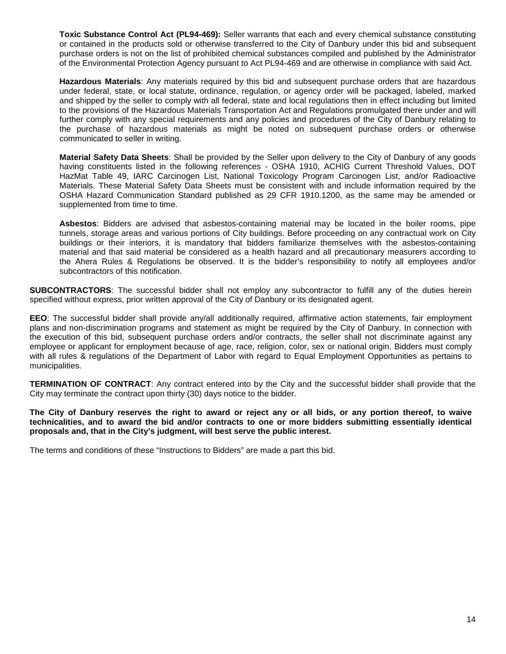**Toxic Substance Control Act (PL94-469):** Seller warrants that each and every chemical substance constituting or contained in the products sold or otherwise transferred to the City of Danbury under this bid and subsequent purchase orders is not on the list of prohibited chemical substances compiled and published by the Administrator of the Environmental Protection Agency pursuant to Act PL94-469 and are otherwise in compliance with said Act.

**Hazardous Materials**: Any materials required by this bid and subsequent purchase orders that are hazardous under federal, state, or local statute, ordinance, regulation, or agency order will be packaged, labeled, marked and shipped by the seller to comply with all federal, state and local regulations then in effect including but limited to the provisions of the Hazardous Materials Transportation Act and Regulations promulgated there under and will further comply with any special requirements and any policies and procedures of the City of Danbury relating to the purchase of hazardous materials as might be noted on subsequent purchase orders or otherwise communicated to seller in writing.

**Material Safety Data Sheets**: Shall be provided by the Seller upon delivery to the City of Danbury of any goods having constituents listed in the following references - OSHA 1910, ACHIG Current Threshold Values, DOT HazMat Table 49, IARC Carcinogen List, National Toxicology Program Carcinogen List, and/or Radioactive Materials. These Material Safety Data Sheets must be consistent with and include information required by the OSHA Hazard Communication Standard published as 29 CFR 1910.1200, as the same may be amended or supplemented from time to time.

**Asbestos**: Bidders are advised that asbestos-containing material may be located in the boiler rooms, pipe tunnels, storage areas and various portions of City buildings. Before proceeding on any contractual work on City buildings or their interiors, it is mandatory that bidders familiarize themselves with the asbestos-containing material and that said material be considered as a health hazard and all precautionary measurers according to the Ahera Rules & Regulations be observed. It is the bidder's responsibility to notify all employees and/or subcontractors of this notification.

**SUBCONTRACTORS**: The successful bidder shall not employ any subcontractor to fulfill any of the duties herein specified without express, prior written approval of the City of Danbury or its designated agent.

**EEO**: The successful bidder shall provide any/all additionally required, affirmative action statements, fair employment plans and non-discrimination programs and statement as might be required by the City of Danbury. In connection with the execution of this bid, subsequent purchase orders and/or contracts, the seller shall not discriminate against any employee or applicant for employment because of age, race, religion, color, sex or national origin. Bidders must comply with all rules & regulations of the Department of Labor with regard to Equal Employment Opportunities as pertains to municipalities.

**TERMINATION OF CONTRACT**: Any contract entered into by the City and the successful bidder shall provide that the City may terminate the contract upon thirty (30) days notice to the bidder.

**The City of Danbury reserves the right to award or reject any or all bids, or any portion thereof, to waive technicalities, and to award the bid and/or contracts to one or more bidders submitting essentially identical proposals and, that in the City's judgment, will best serve the public interest.** 

The terms and conditions of these "Instructions to Bidders" are made a part this bid.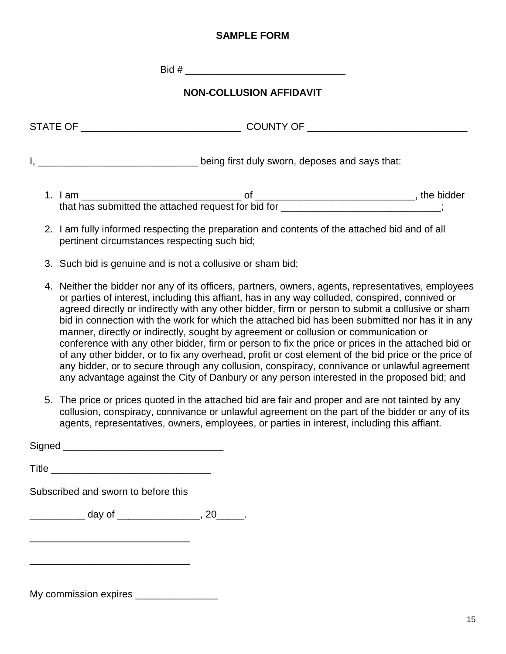# **SAMPLE FORM**

Bid # \_\_\_\_\_\_\_\_\_\_\_\_\_\_\_\_\_\_\_\_\_\_\_\_\_\_\_\_\_

# **NON-COLLUSION AFFIDAVIT**

| <b>STATE OF</b> | <b>COUNTY OF</b>                               |            |
|-----------------|------------------------------------------------|------------|
|                 | being first duly sworn, deposes and says that: |            |
| am              | ∩t                                             | the bidder |

2. I am fully informed respecting the preparation and contents of the attached bid and of all pertinent circumstances respecting such bid;

that has submitted the attached request for bid for \_\_\_\_\_\_\_\_\_\_\_\_\_\_\_\_\_\_\_\_\_\_\_\_\_\_\_\_;

- 3. Such bid is genuine and is not a collusive or sham bid;
- 4. Neither the bidder nor any of its officers, partners, owners, agents, representatives, employees or parties of interest, including this affiant, has in any way colluded, conspired, connived or agreed directly or indirectly with any other bidder, firm or person to submit a collusive or sham bid in connection with the work for which the attached bid has been submitted nor has it in any manner, directly or indirectly, sought by agreement or collusion or communication or conference with any other bidder, firm or person to fix the price or prices in the attached bid or of any other bidder, or to fix any overhead, profit or cost element of the bid price or the price of any bidder, or to secure through any collusion, conspiracy, connivance or unlawful agreement any advantage against the City of Danbury or any person interested in the proposed bid; and
- 5. The price or prices quoted in the attached bid are fair and proper and are not tainted by any collusion, conspiracy, connivance or unlawful agreement on the part of the bidder or any of its agents, representatives, owners, employees, or parties in interest, including this affiant.

| Subscribed and sworn to before this                        |  |
|------------------------------------------------------------|--|
| <u>_____________</u> day of ___________________, 20______. |  |
|                                                            |  |
|                                                            |  |
|                                                            |  |

My commission expires \_\_\_\_\_\_\_\_\_\_\_\_\_\_\_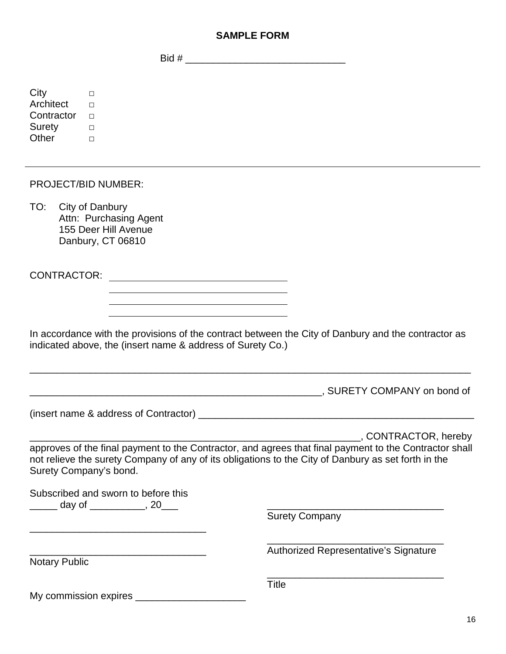# **SAMPLE FORM**

Bid # \_\_\_\_\_\_\_\_\_\_\_\_\_\_\_\_\_\_\_\_\_\_\_\_\_\_\_\_\_

| City<br>$\Box$<br>Architect<br>$\Box$<br>Contractor<br>$\Box$<br>Surety<br>$\Box$<br>Other<br>$\Box$ |                                                                                                                                                                                                                                                             |
|------------------------------------------------------------------------------------------------------|-------------------------------------------------------------------------------------------------------------------------------------------------------------------------------------------------------------------------------------------------------------|
| <b>PROJECT/BID NUMBER:</b>                                                                           |                                                                                                                                                                                                                                                             |
| TO:<br>City of Danbury<br>Attn: Purchasing Agent<br>155 Deer Hill Avenue<br>Danbury, CT 06810        |                                                                                                                                                                                                                                                             |
| <b>CONTRACTOR:</b>                                                                                   |                                                                                                                                                                                                                                                             |
| indicated above, the (insert name & address of Surety Co.)                                           | In accordance with the provisions of the contract between the City of Danbury and the contractor as<br>, SURETY COMPANY on bond of<br><u> 1980 - Johann Barbara, martin da basar da basar da basar da basar da basar da basar da basar da basar da basa</u> |
|                                                                                                      |                                                                                                                                                                                                                                                             |
| Surety Company's bond.<br>Subscribed and sworn to before this                                        | , CONTRACTOR, hereby<br>approves of the final payment to the Contractor, and agrees that final payment to the Contractor shall<br>not relieve the surety Company of any of its obligations to the City of Danbury as set forth in the                       |
| _____ day of ___________, 20___                                                                      | <b>Surety Company</b>                                                                                                                                                                                                                                       |
| <b>Notary Public</b>                                                                                 | Authorized Representative's Signature                                                                                                                                                                                                                       |
| My commission expires ________                                                                       | <b>Title</b>                                                                                                                                                                                                                                                |